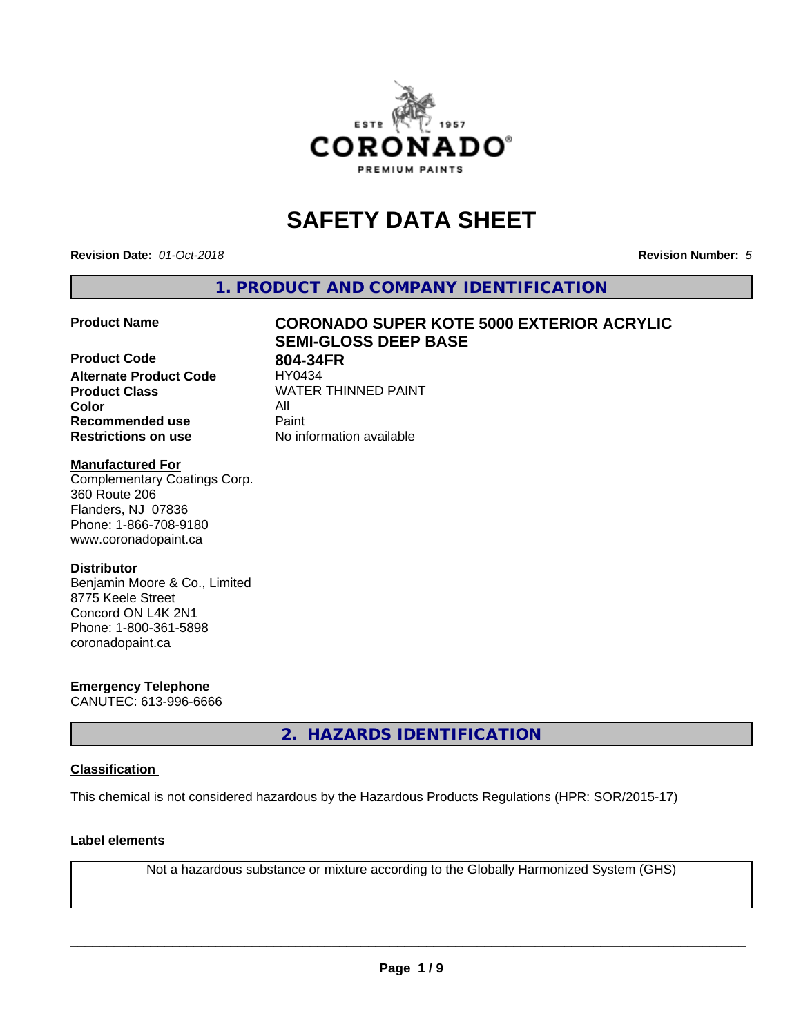

# **SAFETY DATA SHEET**

**Revision Date:** *01-Oct-2018* **Revision Number:** *5*

**1. PRODUCT AND COMPANY IDENTIFICATION**

**Product Code 804-34FR**<br>Alternate Product Code **HY0434 Alternate Product Code Product Class** WATER THINNED PAINT<br>
Color **Color** All **Recommended use** Paint **Restrictions on use** No information available

# **Product Name CORONADO SUPER KOTE 5000 EXTERIOR ACRYLIC SEMI-GLOSS DEEP BASE**

## **Manufactured For**

Complementary Coatings Corp. 360 Route 206 Flanders, NJ 07836 Phone: 1-866-708-9180 www.coronadopaint.ca

# **Distributor**

Benjamin Moore & Co., Limited 8775 Keele Street Concord ON L4K 2N1 Phone: 1-800-361-5898 coronadopaint.ca

**Emergency Telephone** CANUTEC: 613-996-6666

**2. HAZARDS IDENTIFICATION**

# **Classification**

This chemical is not considered hazardous by the Hazardous Products Regulations (HPR: SOR/2015-17)

# **Label elements**

Not a hazardous substance or mixture according to the Globally Harmonized System (GHS)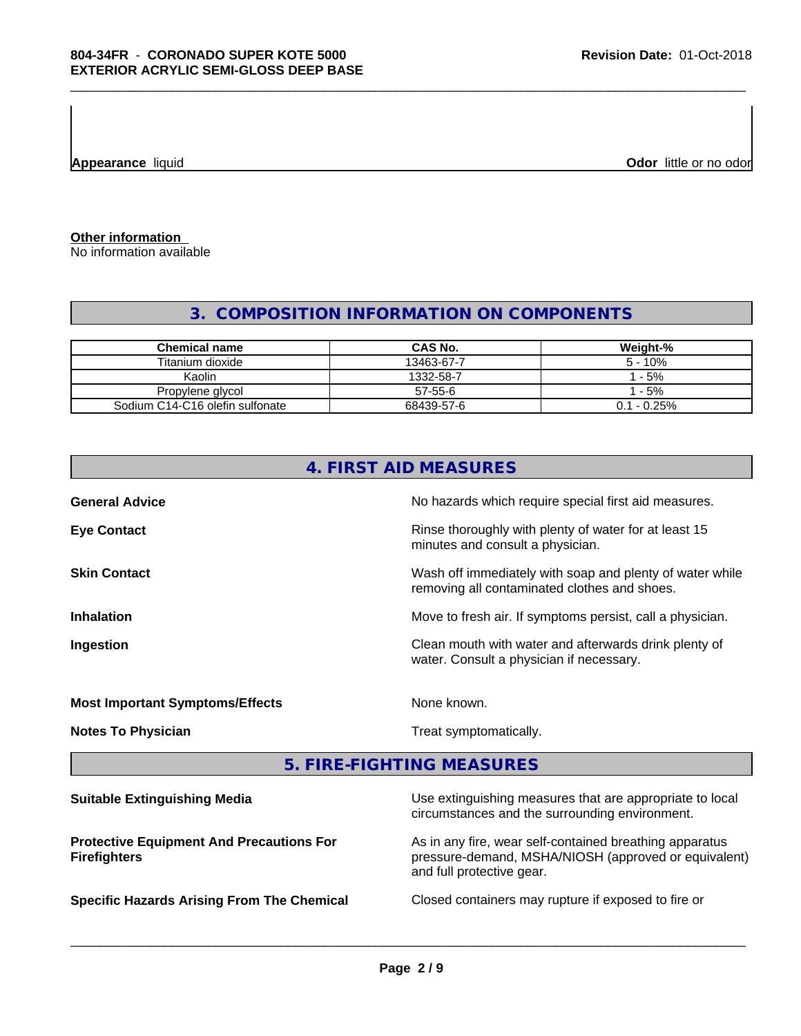**Appearance** liquid

**Odor** little or no odor

**Other information**

No information available

# **3. COMPOSITION INFORMATION ON COMPONENTS**

| <b>Chemical name</b>            | CAS No.    | Weight-%       |
|---------------------------------|------------|----------------|
| Titanium dioxide                | 13463-67-7 | $5 - 10%$      |
| Kaolin                          | 1332-58-7  | $-5%$          |
| Propylene glycol                | 57-55-6    | $-5%$          |
| Sodium C14-C16 olefin sulfonate | 68439-57-6 | $0.1 - 0.25\%$ |

| 4. FIRST AID MEASURES                  |                                                                                                            |  |  |  |
|----------------------------------------|------------------------------------------------------------------------------------------------------------|--|--|--|
| <b>General Advice</b>                  | No hazards which require special first aid measures.                                                       |  |  |  |
| <b>Eye Contact</b>                     | Rinse thoroughly with plenty of water for at least 15<br>minutes and consult a physician.                  |  |  |  |
| <b>Skin Contact</b>                    | Wash off immediately with soap and plenty of water while<br>removing all contaminated clothes and shoes.   |  |  |  |
| <b>Inhalation</b>                      | Move to fresh air. If symptoms persist, call a physician.                                                  |  |  |  |
| Ingestion                              | Clean mouth with water and afterwards drink plenty of<br>water. Consult a physician if necessary.          |  |  |  |
| <b>Most Important Symptoms/Effects</b> | None known.                                                                                                |  |  |  |
| <b>Notes To Physician</b>              | Treat symptomatically.                                                                                     |  |  |  |
|                                        | 5. FIRE-FIGHTING MEASURES                                                                                  |  |  |  |
| <b>Suitable Extinguishing Media</b>    | Use extinguishing measures that are appropriate to local<br>circumstances and the surrounding environment. |  |  |  |

**Protective Equipment And Precautions For Firefighters**

**Specific Hazards Arising From The Chemical Closed containers may rupture if exposed to fire or** 

As in any fire, wear self-contained breathing apparatus pressure-demand, MSHA/NIOSH (approved or equivalent)

and full protective gear.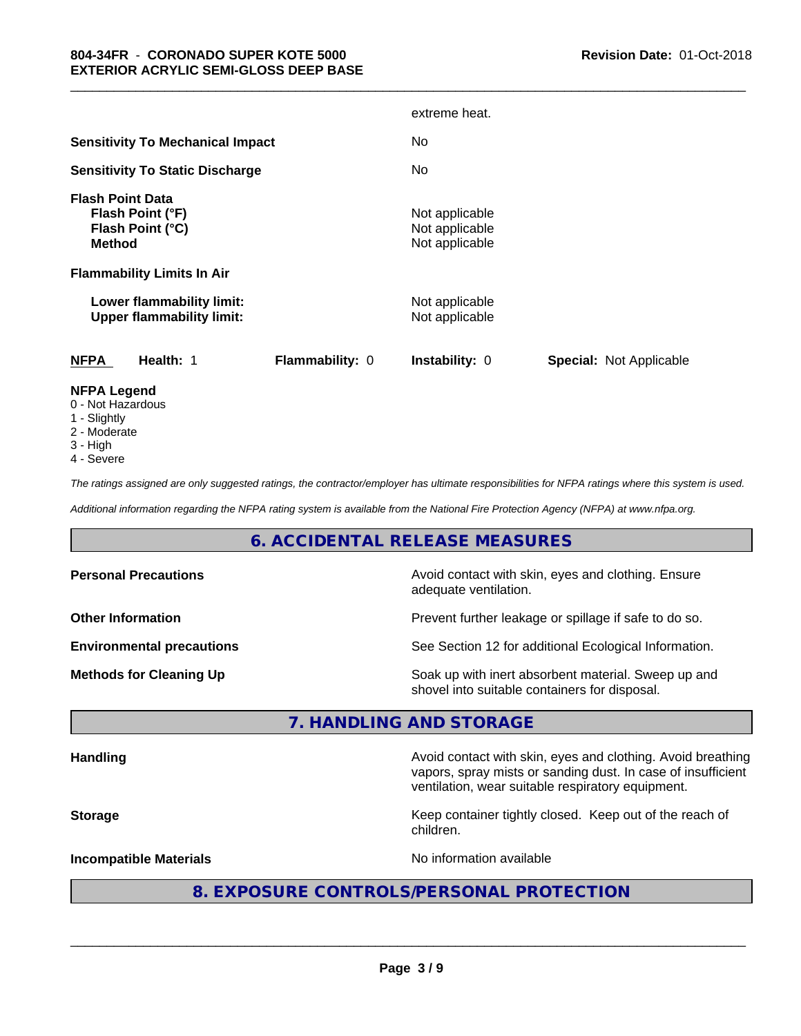|                                                                                                                       |                        | extreme heat.                                      |                         |
|-----------------------------------------------------------------------------------------------------------------------|------------------------|----------------------------------------------------|-------------------------|
| <b>Sensitivity To Mechanical Impact</b>                                                                               |                        | No.                                                |                         |
| <b>Sensitivity To Static Discharge</b>                                                                                |                        | No.                                                |                         |
| <b>Flash Point Data</b><br>Flash Point (°F)<br>Flash Point (°C)<br><b>Method</b><br><b>Flammability Limits In Air</b> |                        | Not applicable<br>Not applicable<br>Not applicable |                         |
| Lower flammability limit:<br><b>Upper flammability limit:</b>                                                         |                        | Not applicable<br>Not applicable                   |                         |
| <b>NFPA</b><br>Health: 1                                                                                              | <b>Flammability: 0</b> | Instability: 0                                     | Special: Not Applicable |
| <b>NFPA Legend</b><br>0 - Not Hazardous                                                                               |                        |                                                    |                         |

\_\_\_\_\_\_\_\_\_\_\_\_\_\_\_\_\_\_\_\_\_\_\_\_\_\_\_\_\_\_\_\_\_\_\_\_\_\_\_\_\_\_\_\_\_\_\_\_\_\_\_\_\_\_\_\_\_\_\_\_\_\_\_\_\_\_\_\_\_\_\_\_\_\_\_\_\_\_\_\_\_\_\_\_\_\_\_\_\_\_\_\_\_

- 1 Slightly
- 2 Moderate
- 
- 3 High
- 4 Severe

*The ratings assigned are only suggested ratings, the contractor/employer has ultimate responsibilities for NFPA ratings where this system is used.*

*Additional information regarding the NFPA rating system is available from the National Fire Protection Agency (NFPA) at www.nfpa.org.*

# **6. ACCIDENTAL RELEASE MEASURES**

| <b>Personal Precautions</b>      | Avoid contact with skin, eyes and clothing. Ensure<br>adequate ventilation.                          |
|----------------------------------|------------------------------------------------------------------------------------------------------|
| <b>Other Information</b>         | Prevent further leakage or spillage if safe to do so.                                                |
| <b>Environmental precautions</b> | See Section 12 for additional Ecological Information.                                                |
| <b>Methods for Cleaning Up</b>   | Soak up with inert absorbent material. Sweep up and<br>shovel into suitable containers for disposal. |

# **7. HANDLING AND STORAGE**

|  | <b>Handling</b> |
|--|-----------------|
|  |                 |

**Handling** Avoid contact with skin, eyes and clothing. Avoid breathing vapors, spray mists or sanding dust. In case of insufficient ventilation, wear suitable respiratory equipment.

**Storage Keep container tightly closed. Keep out of the reach of Keep** container tightly closed. Keep out of the reach of children.

**Incompatible Materials Incompatible Materials No information available** 

 $\overline{\phantom{a}}$  ,  $\overline{\phantom{a}}$  ,  $\overline{\phantom{a}}$  ,  $\overline{\phantom{a}}$  ,  $\overline{\phantom{a}}$  ,  $\overline{\phantom{a}}$  ,  $\overline{\phantom{a}}$  ,  $\overline{\phantom{a}}$  ,  $\overline{\phantom{a}}$  ,  $\overline{\phantom{a}}$  ,  $\overline{\phantom{a}}$  ,  $\overline{\phantom{a}}$  ,  $\overline{\phantom{a}}$  ,  $\overline{\phantom{a}}$  ,  $\overline{\phantom{a}}$  ,  $\overline{\phantom{a}}$ 

# **8. EXPOSURE CONTROLS/PERSONAL PROTECTION**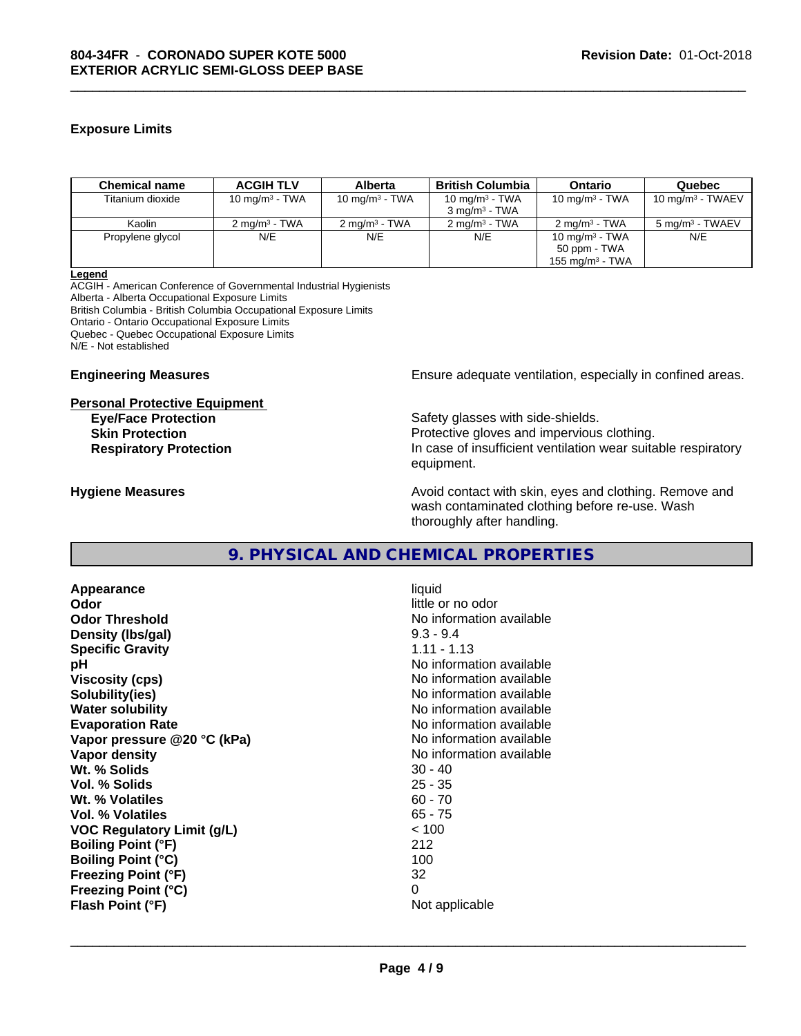# **Exposure Limits**

| <b>Chemical name</b> | <b>ACGIH TLV</b>         | <b>Alberta</b>           | <b>British Columbia</b>  | <b>Ontario</b>           | Quebec                      |
|----------------------|--------------------------|--------------------------|--------------------------|--------------------------|-----------------------------|
| Titanium dioxide     | 10 mg/m $3$ - TWA        | 10 mg/m $3$ - TWA        | 10 mg/m $3$ - TWA        | 10 mg/m $3$ - TWA        | 10 mg/m $3$ - TWAEV         |
|                      |                          |                          | $3 \text{ ma/m}^3$ - TWA |                          |                             |
| Kaolin               | $2 \text{ ma/m}^3$ - TWA | $2 \text{ ma/m}^3$ - TWA | $2 \text{ ma/m}^3$ - TWA | $2 \text{ ma/m}^3$ - TWA | 5 mg/m <sup>3</sup> - TWAEV |
| Propylene glycol     | N/E                      | N/E                      | N/E                      | 10 mg/m $3$ - TWA        | N/E                         |
|                      |                          |                          |                          | 50 ppm - TWA             |                             |
|                      |                          |                          |                          | 155 mg/m $3$ - TWA       |                             |

\_\_\_\_\_\_\_\_\_\_\_\_\_\_\_\_\_\_\_\_\_\_\_\_\_\_\_\_\_\_\_\_\_\_\_\_\_\_\_\_\_\_\_\_\_\_\_\_\_\_\_\_\_\_\_\_\_\_\_\_\_\_\_\_\_\_\_\_\_\_\_\_\_\_\_\_\_\_\_\_\_\_\_\_\_\_\_\_\_\_\_\_\_

**Legend**

ACGIH - American Conference of Governmental Industrial Hygienists Alberta - Alberta Occupational Exposure Limits British Columbia - British Columbia Occupational Exposure Limits Ontario - Ontario Occupational Exposure Limits Quebec - Quebec Occupational Exposure Limits N/E - Not established

#### **Personal Protective Equipment**

**Engineering Measures Ensure** Ensure adequate ventilation, especially in confined areas.

**Eye/Face Protection** Safety glasses with side-shields. **Skin Protection Protection Protective gloves and impervious clothing. Respiratory Protection In case of insufficient ventilation wear suitable respiratory** equipment.

**Hygiene Measures Avoid contact with skin, eyes and clothing. Remove and Hygiene Measures** and clothing. Remove and wash contaminated clothing before re-use. Wash thoroughly after handling.

# **9. PHYSICAL AND CHEMICAL PROPERTIES**

**Appearance** liquid **Odor** little or no odor **Odor Threshold**<br> **Density (Ibs/aal)**<br> **Density (Ibs/aal)**<br> **No information available**<br>  $9.3 - 9.4$ **Density (Ibs/gal)** 9.3 - 9.4<br> **Specific Gravity** 6.11 - 1.13 **Specific Gravity pH pH**  $\blacksquare$ **Viscosity (cps)** No information available in the Viscosity (cps) **Solubility(ies)** No information available **Water solubility** No information available **Evaporation Rate No information available No information available Vapor pressure @20 °C (kPa)** No information available **Vapor density Vapor density No information available Wt. % Solids** 30 - 40 **Vol. % Solids** 25 - 35 **Wt. % Volatiles Vol. % Volatiles** 65 - 75 **VOC Regulatory Limit (g/L)** < 100 **Boiling Point (°F)** 212 **Boiling Point (°C)** 100 **Freezing Point (°F)** 32 **Freezing Point (°C)** 0 **Flash Point (°F)** Not applicable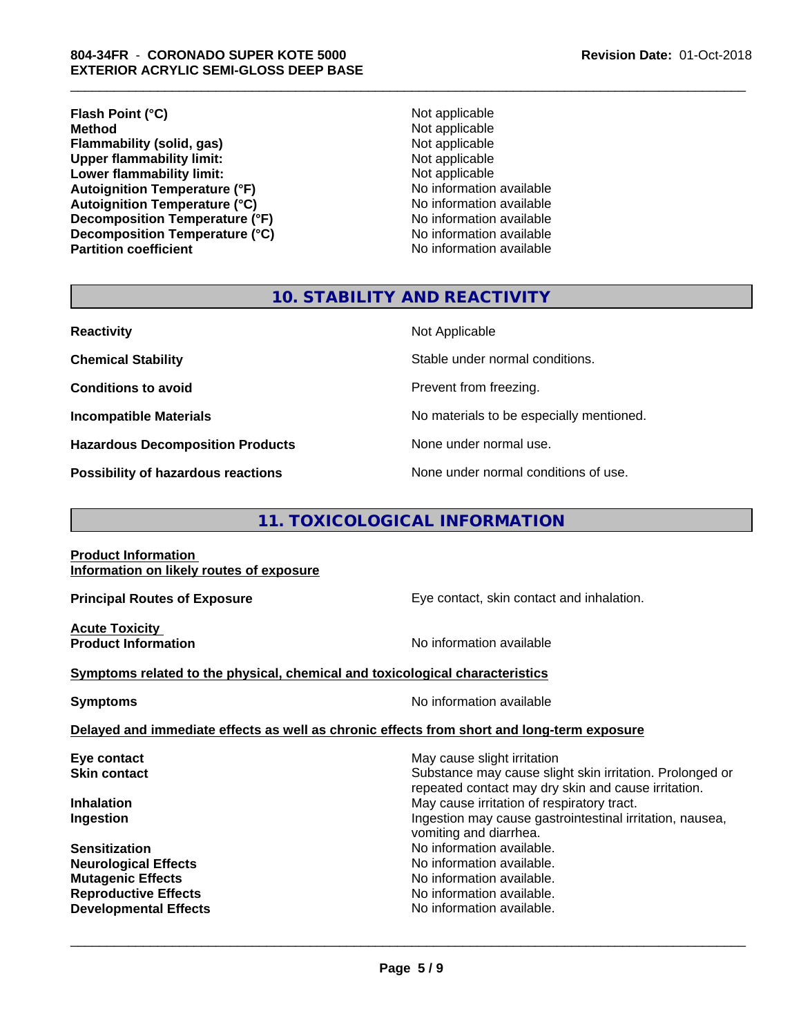### **804-34FR** - **CORONADO SUPER KOTE 5000 EXTERIOR ACRYLIC SEMI-GLOSS DEEP BASE**

**Flash Point (°C)**<br> **Method** Not applicable<br> **Method** Not applicable **Flammability (solid, gas)**<br> **Contains Upper flammability limit:**<br>
Upper flammability limit:<br>
Not applicable **Upper flammability limit:**<br> **Lower flammability limit:**<br>
Not applicable<br>
Not applicable **Lower flammability limit:**<br> **Autoignition Temperature (°F)**<br>
Mo information available **Autoignition Temperature (°F) Autoignition Temperature (°C)**<br> **Decomposition Temperature (°F)** No information available<br>
No information available **Decomposition Temperature (°F)** No information available<br> **Decomposition Temperature (°C)** No information available **Decomposition Temperature (°C) Partition coefficient Contract Contract Contract Contract Contract Contract Contract Contract Contract Contract Contract Contract Contract Contract Contract Contract Contract Contract Contract Contract Contract Contract** 

**Not applicable**<br>Not applicable

\_\_\_\_\_\_\_\_\_\_\_\_\_\_\_\_\_\_\_\_\_\_\_\_\_\_\_\_\_\_\_\_\_\_\_\_\_\_\_\_\_\_\_\_\_\_\_\_\_\_\_\_\_\_\_\_\_\_\_\_\_\_\_\_\_\_\_\_\_\_\_\_\_\_\_\_\_\_\_\_\_\_\_\_\_\_\_\_\_\_\_\_\_

# **10. STABILITY AND REACTIVITY**

| <b>Reactivity</b>                       | Not Applicable                           |
|-----------------------------------------|------------------------------------------|
| <b>Chemical Stability</b>               | Stable under normal conditions.          |
| <b>Conditions to avoid</b>              | Prevent from freezing.                   |
| <b>Incompatible Materials</b>           | No materials to be especially mentioned. |
| <b>Hazardous Decomposition Products</b> | None under normal use.                   |
| Possibility of hazardous reactions      | None under normal conditions of use.     |

# **11. TOXICOLOGICAL INFORMATION**

**Product Information Information on likely routes of exposure**

**Acute Toxicity** 

**Principal Routes of Exposure Exposure** Eye contact, skin contact and inhalation.

**Product Information Contract Contract Contract Contract Contract Contract Contract Contract Contract Contract Contract Contract Contract Contract Contract Contract Contract Contract Contract Contract Contract Contract C** 

 $\overline{\phantom{a}}$  ,  $\overline{\phantom{a}}$  ,  $\overline{\phantom{a}}$  ,  $\overline{\phantom{a}}$  ,  $\overline{\phantom{a}}$  ,  $\overline{\phantom{a}}$  ,  $\overline{\phantom{a}}$  ,  $\overline{\phantom{a}}$  ,  $\overline{\phantom{a}}$  ,  $\overline{\phantom{a}}$  ,  $\overline{\phantom{a}}$  ,  $\overline{\phantom{a}}$  ,  $\overline{\phantom{a}}$  ,  $\overline{\phantom{a}}$  ,  $\overline{\phantom{a}}$  ,  $\overline{\phantom{a}}$ 

# **Symptoms** related to the physical, chemical and toxicological characteristics

**Symptoms** No information available

**Delayed and immediate effects as well as chronic effects from short and long-term exposure**

| Eye contact                  | May cause slight irritation                                                                                     |
|------------------------------|-----------------------------------------------------------------------------------------------------------------|
| <b>Skin contact</b>          | Substance may cause slight skin irritation. Prolonged or<br>repeated contact may dry skin and cause irritation. |
| <b>Inhalation</b>            | May cause irritation of respiratory tract.                                                                      |
| Ingestion                    | Ingestion may cause gastrointestinal irritation, nausea,<br>vomiting and diarrhea.                              |
| <b>Sensitization</b>         | No information available.                                                                                       |
| <b>Neurological Effects</b>  | No information available.                                                                                       |
| <b>Mutagenic Effects</b>     | No information available.                                                                                       |
| <b>Reproductive Effects</b>  | No information available.                                                                                       |
| <b>Developmental Effects</b> | No information available.                                                                                       |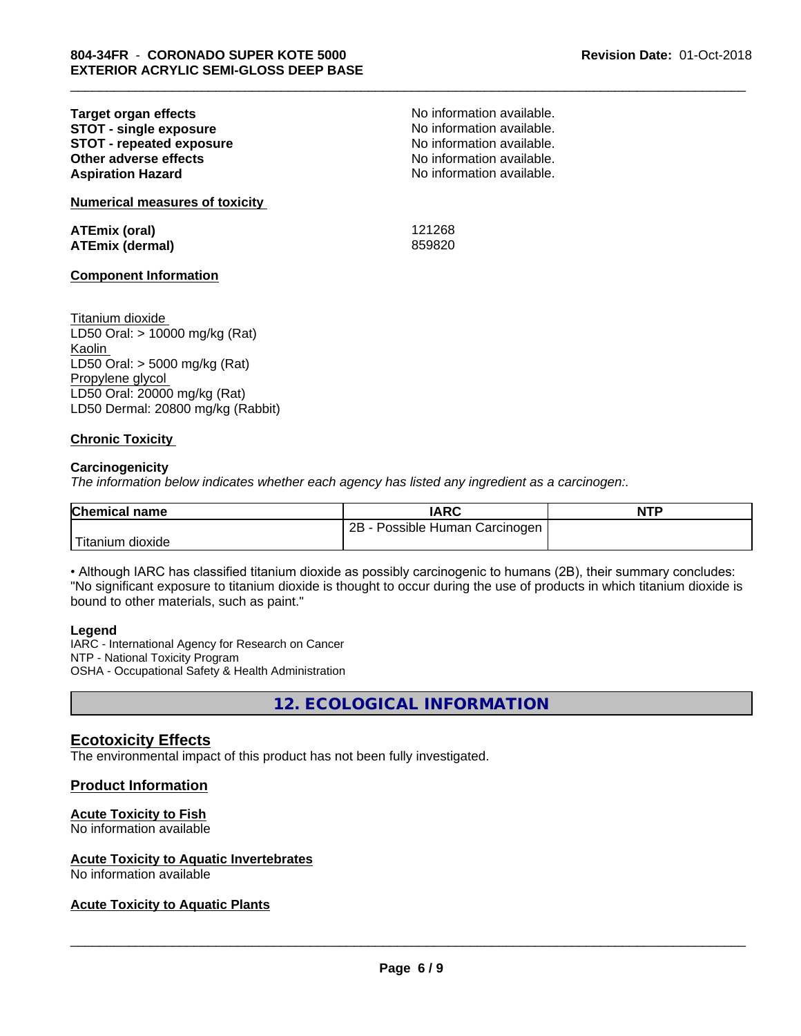| Target organ effects            |  |
|---------------------------------|--|
| <b>STOT - single exposure</b>   |  |
| <b>STOT - repeated exposure</b> |  |
| Other adverse effects           |  |
| <b>Aspiration Hazard</b>        |  |
|                                 |  |

**Numerical measures of toxicity**

**ATEmix (oral)** 121268 **ATEmix (dermal)** 859820

\_\_\_\_\_\_\_\_\_\_\_\_\_\_\_\_\_\_\_\_\_\_\_\_\_\_\_\_\_\_\_\_\_\_\_\_\_\_\_\_\_\_\_\_\_\_\_\_\_\_\_\_\_\_\_\_\_\_\_\_\_\_\_\_\_\_\_\_\_\_\_\_\_\_\_\_\_\_\_\_\_\_\_\_\_\_\_\_\_\_\_\_\_

No information available. **STOT - single exposure** No information available. **STOT - repeated exposure** No information available. No information available. No information available.

#### **Component Information**

Titanium dioxide LD50 Oral: > 10000 mg/kg (Rat) Kaolin LD50 Oral: > 5000 mg/kg (Rat) Propylene glycol LD50 Oral: 20000 mg/kg (Rat) LD50 Dermal: 20800 mg/kg (Rabbit)

### **Chronic Toxicity**

#### **Carcinogenicity**

*The information below indicateswhether each agency has listed any ingredient as a carcinogen:.*

| <b>Chemical name</b> | <b>IARC</b>                       | <b>NTP</b> |
|----------------------|-----------------------------------|------------|
|                      | 2Β<br>Possible Human Carcinogen ! |            |
| Titanium<br>dioxide  |                                   |            |

• Although IARC has classified titanium dioxide as possibly carcinogenic to humans (2B), their summary concludes: "No significant exposure to titanium dioxide is thought to occur during the use of products in which titanium dioxide is bound to other materials, such as paint."

#### **Legend**

IARC - International Agency for Research on Cancer NTP - National Toxicity Program OSHA - Occupational Safety & Health Administration

**12. ECOLOGICAL INFORMATION**

# **Ecotoxicity Effects**

The environmental impact of this product has not been fully investigated.

### **Product Information**

# **Acute Toxicity to Fish**

No information available

### **Acute Toxicity to Aquatic Invertebrates**

No information available

# **Acute Toxicity to Aquatic Plants**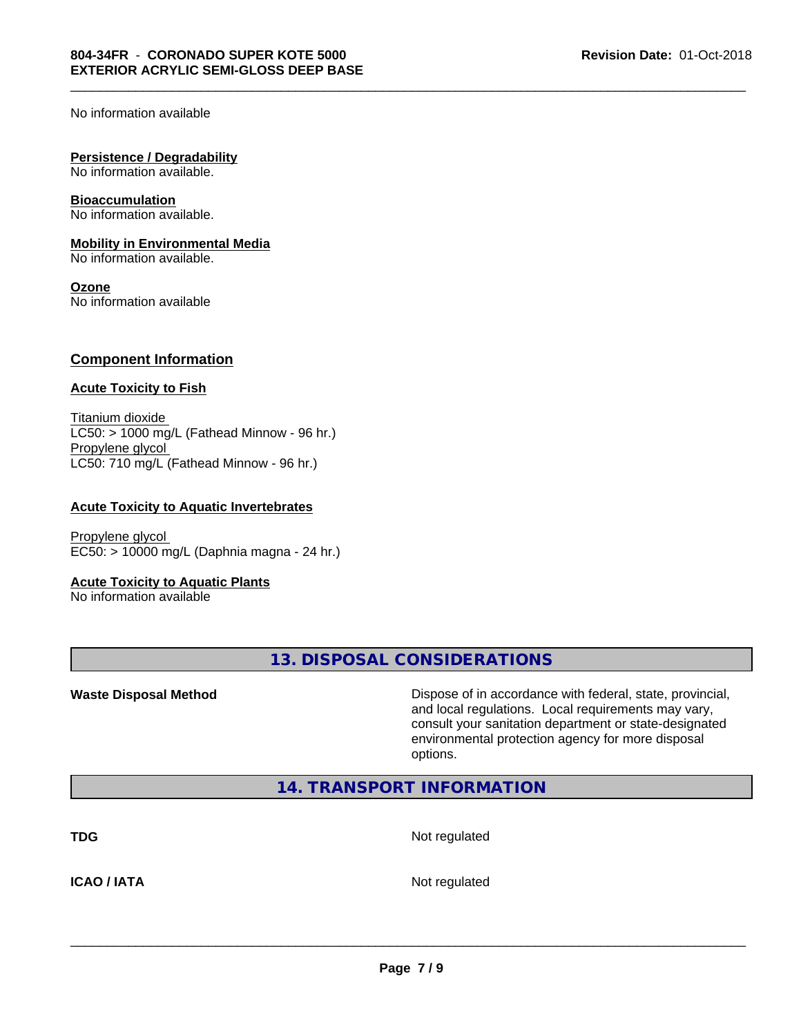No information available

#### **Persistence / Degradability**

No information available.

#### **Bioaccumulation**

No information available.

#### **Mobility in Environmental Media**

No information available.

#### **Ozone**

No information available

### **Component Information**

#### **Acute Toxicity to Fish**

Titanium dioxide  $LC50:$  > 1000 mg/L (Fathead Minnow - 96 hr.) Propylene glycol LC50: 710 mg/L (Fathead Minnow - 96 hr.)

#### **Acute Toxicity to Aquatic Invertebrates**

Propylene glycol EC50: > 10000 mg/L (Daphnia magna - 24 hr.)

### **Acute Toxicity to Aquatic Plants**

No information available

**13. DISPOSAL CONSIDERATIONS**

**Waste Disposal Method Dispose of in accordance with federal, state, provincial,** and local regulations. Local requirements may vary, consult your sanitation department or state-designated environmental protection agency for more disposal options.

# **14. TRANSPORT INFORMATION**

**TDG** Not regulated

\_\_\_\_\_\_\_\_\_\_\_\_\_\_\_\_\_\_\_\_\_\_\_\_\_\_\_\_\_\_\_\_\_\_\_\_\_\_\_\_\_\_\_\_\_\_\_\_\_\_\_\_\_\_\_\_\_\_\_\_\_\_\_\_\_\_\_\_\_\_\_\_\_\_\_\_\_\_\_\_\_\_\_\_\_\_\_\_\_\_\_\_\_

**ICAO / IATA** Not regulated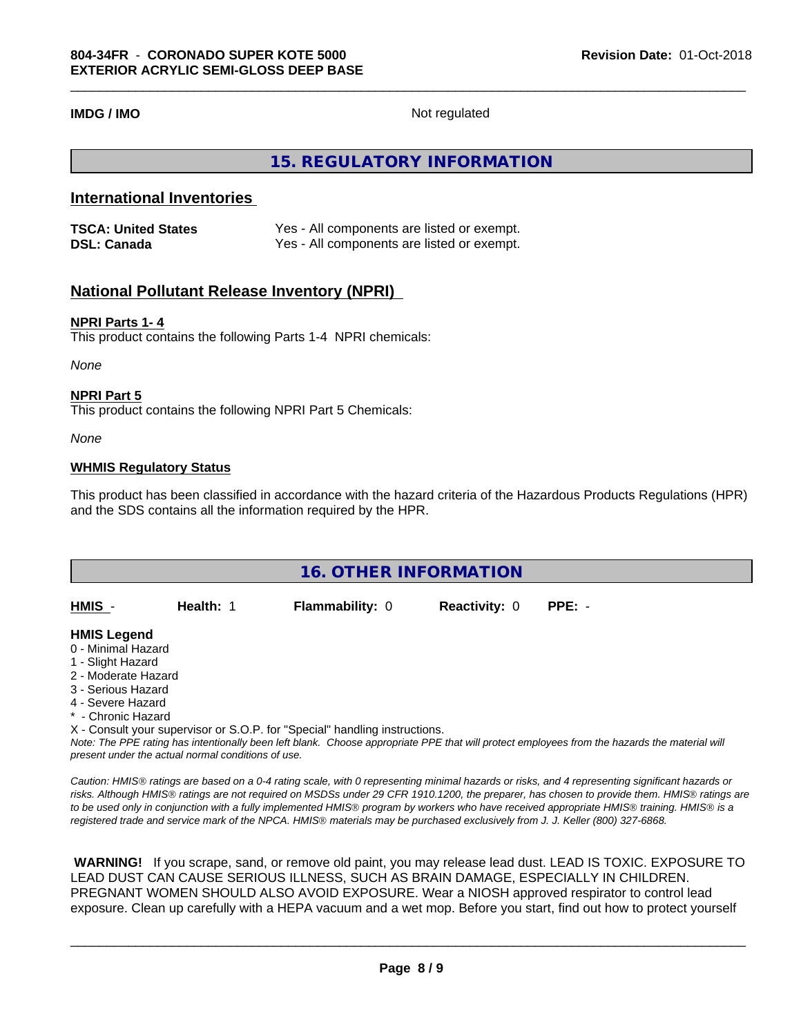**IMDG / IMO** Not regulated

# **15. REGULATORY INFORMATION**

# **International Inventories**

| <b>TSCA: United States</b> | Yes - All components are listed or exempt. |
|----------------------------|--------------------------------------------|
| <b>DSL: Canada</b>         | Yes - All components are listed or exempt. |

# **National Pollutant Release Inventory (NPRI)**

#### **NPRI Parts 1- 4**

This product contains the following Parts 1-4 NPRI chemicals:

*None*

#### **NPRI Part 5**

This product contains the following NPRI Part 5 Chemicals:

*None*

### **WHMIS Regulatory Status**

This product has been classified in accordance with the hazard criteria of the Hazardous Products Regulations (HPR) and the SDS contains all the information required by the HPR.

| <b>16. OTHER INFORMATION</b>                                                                                                                          |                                                    |                                                                            |                      |                                                                                                                                               |  |
|-------------------------------------------------------------------------------------------------------------------------------------------------------|----------------------------------------------------|----------------------------------------------------------------------------|----------------------|-----------------------------------------------------------------------------------------------------------------------------------------------|--|
| HMIS -                                                                                                                                                | Health: 1                                          | <b>Flammability: 0</b>                                                     | <b>Reactivity: 0</b> | $PPE: -$                                                                                                                                      |  |
| <b>HMIS Legend</b><br>0 - Minimal Hazard<br>1 - Slight Hazard<br>2 - Moderate Hazard<br>3 - Serious Hazard<br>4 - Severe Hazard<br>* - Chronic Hazard |                                                    |                                                                            |                      |                                                                                                                                               |  |
|                                                                                                                                                       | present under the actual normal conditions of use. | X - Consult your supervisor or S.O.P. for "Special" handling instructions. |                      | Note: The PPE rating has intentionally been left blank. Choose appropriate PPE that will protect employees from the hazards the material will |  |

*Caution: HMISÒ ratings are based on a 0-4 rating scale, with 0 representing minimal hazards or risks, and 4 representing significant hazards or risks. Although HMISÒ ratings are not required on MSDSs under 29 CFR 1910.1200, the preparer, has chosen to provide them. HMISÒ ratings are to be used only in conjunction with a fully implemented HMISÒ program by workers who have received appropriate HMISÒ training. HMISÒ is a registered trade and service mark of the NPCA. HMISÒ materials may be purchased exclusively from J. J. Keller (800) 327-6868.*

 **WARNING!** If you scrape, sand, or remove old paint, you may release lead dust. LEAD IS TOXIC. EXPOSURE TO LEAD DUST CAN CAUSE SERIOUS ILLNESS, SUCH AS BRAIN DAMAGE, ESPECIALLY IN CHILDREN. PREGNANT WOMEN SHOULD ALSO AVOID EXPOSURE.Wear a NIOSH approved respirator to control lead exposure. Clean up carefully with a HEPA vacuum and a wet mop. Before you start, find out how to protect yourself